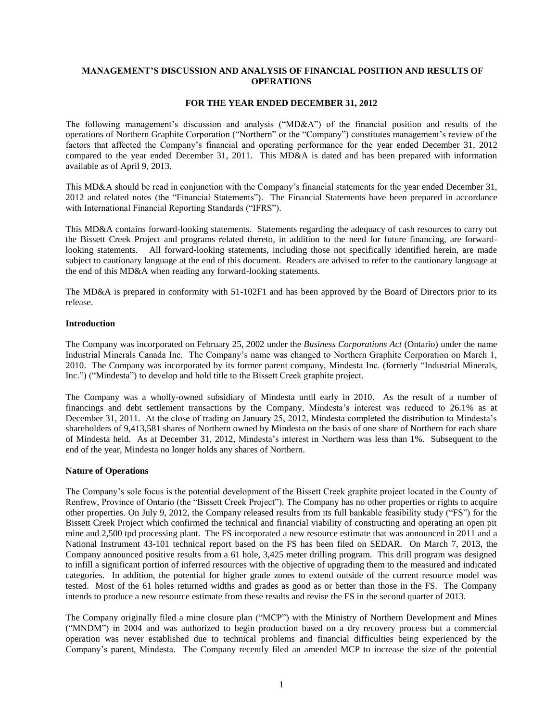# **MANAGEMENT'S DISCUSSION AND ANALYSIS OF FINANCIAL POSITION AND RESULTS OF OPERATIONS**

# **FOR THE YEAR ENDED DECEMBER 31, 2012**

The following management's discussion and analysis ("MD&A") of the financial position and results of the operations of Northern Graphite Corporation ("Northern" or the "Company") constitutes management's review of the factors that affected the Company's financial and operating performance for the year ended December 31, 2012 compared to the year ended December 31, 2011. This MD&A is dated and has been prepared with information available as of April 9, 2013.

This MD&A should be read in conjunction with the Company's financial statements for the year ended December 31, 2012 and related notes (the "Financial Statements"). The Financial Statements have been prepared in accordance with International Financial Reporting Standards ("IFRS").

This MD&A contains forward-looking statements. Statements regarding the adequacy of cash resources to carry out the Bissett Creek Project and programs related thereto, in addition to the need for future financing, are forwardlooking statements. All forward-looking statements, including those not specifically identified herein, are made subject to cautionary language at the end of this document. Readers are advised to refer to the cautionary language at the end of this MD&A when reading any forward-looking statements.

The MD&A is prepared in conformity with 51-102F1 and has been approved by the Board of Directors prior to its release.

## **Introduction**

The Company was incorporated on February 25, 2002 under the *Business Corporations Act* (Ontario) under the name Industrial Minerals Canada Inc. The Company's name was changed to Northern Graphite Corporation on March 1, 2010. The Company was incorporated by its former parent company, Mindesta Inc. (formerly "Industrial Minerals, Inc.") ("Mindesta") to develop and hold title to the Bissett Creek graphite project.

The Company was a wholly-owned subsidiary of Mindesta until early in 2010. As the result of a number of financings and debt settlement transactions by the Company, Mindesta's interest was reduced to 26.1% as at December 31, 2011. At the close of trading on January 25, 2012, Mindesta completed the distribution to Mindesta's shareholders of 9,413,581 shares of Northern owned by Mindesta on the basis of one share of Northern for each share of Mindesta held. As at December 31, 2012, Mindesta's interest in Northern was less than 1%. Subsequent to the end of the year, Mindesta no longer holds any shares of Northern.

## **Nature of Operations**

The Company's sole focus is the potential development of the Bissett Creek graphite project located in the County of Renfrew, Province of Ontario (the "Bissett Creek Project"). The Company has no other properties or rights to acquire other properties. On July 9, 2012, the Company released results from its full bankable feasibility study ("FS") for the Bissett Creek Project which confirmed the technical and financial viability of constructing and operating an open pit mine and 2,500 tpd processing plant. The FS incorporated a new resource estimate that was announced in 2011 and a National Instrument 43-101 technical report based on the FS has been filed on SEDAR. On March 7, 2013, the Company announced positive results from a 61 hole, 3,425 meter drilling program. This drill program was designed to infill a significant portion of inferred resources with the objective of upgrading them to the measured and indicated categories. In addition, the potential for higher grade zones to extend outside of the current resource model was tested. Most of the 61 holes returned widths and grades as good as or better than those in the FS. The Company intends to produce a new resource estimate from these results and revise the FS in the second quarter of 2013.

The Company originally filed a mine closure plan ("MCP") with the Ministry of Northern Development and Mines ("MNDM") in 2004 and was authorized to begin production based on a dry recovery process but a commercial operation was never established due to technical problems and financial difficulties being experienced by the Company's parent, Mindesta. The Company recently filed an amended MCP to increase the size of the potential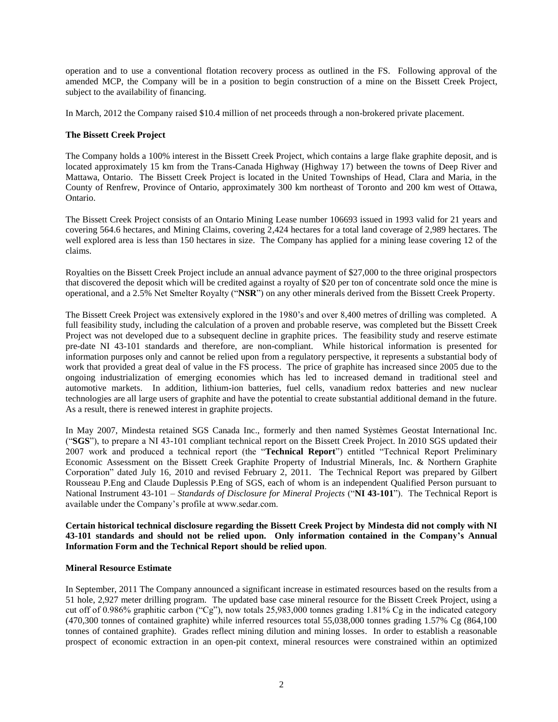operation and to use a conventional flotation recovery process as outlined in the FS. Following approval of the amended MCP, the Company will be in a position to begin construction of a mine on the Bissett Creek Project, subject to the availability of financing.

In March, 2012 the Company raised \$10.4 million of net proceeds through a non-brokered private placement.

# **The Bissett Creek Project**

The Company holds a 100% interest in the Bissett Creek Project, which contains a large flake graphite deposit, and is located approximately 15 km from the Trans-Canada Highway (Highway 17) between the towns of Deep River and Mattawa, Ontario. The Bissett Creek Project is located in the United Townships of Head, Clara and Maria, in the County of Renfrew, Province of Ontario, approximately 300 km northeast of Toronto and 200 km west of Ottawa, Ontario.

The Bissett Creek Project consists of an Ontario Mining Lease number 106693 issued in 1993 valid for 21 years and covering 564.6 hectares, and Mining Claims, covering 2,424 hectares for a total land coverage of 2,989 hectares. The well explored area is less than 150 hectares in size. The Company has applied for a mining lease covering 12 of the claims.

Royalties on the Bissett Creek Project include an annual advance payment of \$27,000 to the three original prospectors that discovered the deposit which will be credited against a royalty of \$20 per ton of concentrate sold once the mine is operational, and a 2.5% Net Smelter Royalty ("**NSR**") on any other minerals derived from the Bissett Creek Property.

The Bissett Creek Project was extensively explored in the 1980's and over 8,400 metres of drilling was completed. A full feasibility study, including the calculation of a proven and probable reserve, was completed but the Bissett Creek Project was not developed due to a subsequent decline in graphite prices. The feasibility study and reserve estimate pre-date NI 43-101 standards and therefore, are non-compliant. While historical information is presented for information purposes only and cannot be relied upon from a regulatory perspective, it represents a substantial body of work that provided a great deal of value in the FS process. The price of graphite has increased since 2005 due to the ongoing industrialization of emerging economies which has led to increased demand in traditional steel and automotive markets. In addition, lithium-ion batteries, fuel cells, vanadium redox batteries and new nuclear technologies are all large users of graphite and have the potential to create substantial additional demand in the future. As a result, there is renewed interest in graphite projects.

In May 2007, Mindesta retained SGS Canada Inc., formerly and then named Systèmes Geostat International Inc. ("**SGS**"), to prepare a NI 43-101 compliant technical report on the Bissett Creek Project. In 2010 SGS updated their 2007 work and produced a technical report (the "**Technical Report**") entitled "Technical Report Preliminary Economic Assessment on the Bissett Creek Graphite Property of Industrial Minerals, Inc. & Northern Graphite Corporation" dated July 16, 2010 and revised February 2, 2011. The Technical Report was prepared by Gilbert Rousseau P.Eng and Claude Duplessis P.Eng of SGS, each of whom is an independent Qualified Person pursuant to National Instrument 43-101 – *Standards of Disclosure for Mineral Projects* ("**NI 43-101**"). The Technical Report is available under the Company's profile at www.sedar.com.

**Certain historical technical disclosure regarding the Bissett Creek Project by Mindesta did not comply with NI 43-101 standards and should not be relied upon. Only information contained in the Company's Annual Information Form and the Technical Report should be relied upon**.

## **Mineral Resource Estimate**

In September, 2011 The Company announced a significant increase in estimated resources based on the results from a 51 hole, 2,927 meter drilling program. The updated base case mineral resource for the Bissett Creek Project, using a cut off of 0.986% graphitic carbon ("Cg"), now totals 25,983,000 tonnes grading 1.81% Cg in the indicated category (470,300 tonnes of contained graphite) while inferred resources total 55,038,000 tonnes grading 1.57% Cg (864,100 tonnes of contained graphite). Grades reflect mining dilution and mining losses. In order to establish a reasonable prospect of economic extraction in an open-pit context, mineral resources were constrained within an optimized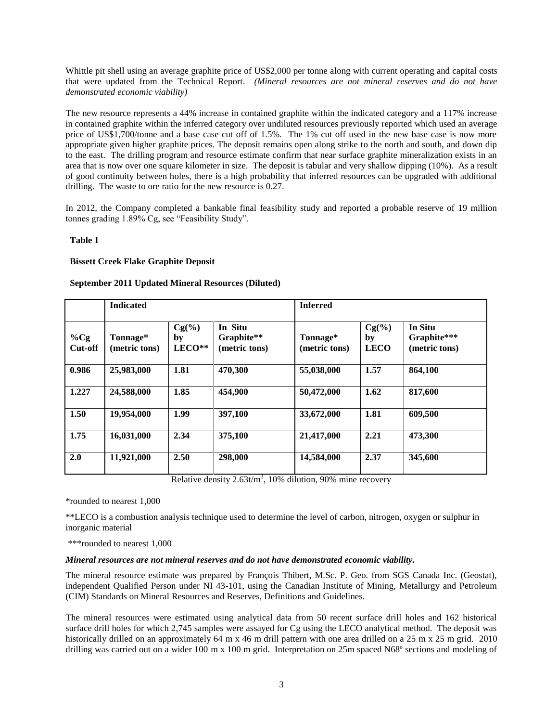Whittle pit shell using an average graphite price of US\$2,000 per tonne along with current operating and capital costs that were updated from the Technical Report. *(Mineral resources are not mineral reserves and do not have demonstrated economic viability)*

The new resource represents a 44% increase in contained graphite within the indicated category and a 117% increase in contained graphite within the inferred category over undiluted resources previously reported which used an average price of US\$1,700/tonne and a base case cut off of 1.5%. The 1% cut off used in the new base case is now more appropriate given higher graphite prices. The deposit remains open along strike to the north and south, and down dip to the east. The drilling program and resource estimate confirm that near surface graphite mineralization exists in an area that is now over one square kilometer in size. The deposit is tabular and very shallow dipping (10%). As a result of good continuity between holes, there is a high probability that inferred resources can be upgraded with additional drilling. The waste to ore ratio for the new resource is 0.27.

In 2012, the Company completed a bankable final feasibility study and reported a probable reserve of 19 million tonnes grading 1.89% Cg, see "Feasibility Study".

# **Table 1**

# **Bissett Creek Flake Graphite Deposit**

# **September 2011 Updated Mineral Resources (Diluted)**

|                   | <b>Indicated</b>          |                          |                                        | <b>Inferred</b>           |                               |                                         |
|-------------------|---------------------------|--------------------------|----------------------------------------|---------------------------|-------------------------------|-----------------------------------------|
| $\%Cg$<br>Cut-off | Tonnage*<br>(metric tons) | $Cg(\%)$<br>by<br>LECO** | In Situ<br>Graphite**<br>(metric tons) | Tonnage*<br>(metric tons) | $Cg(\%)$<br>by<br><b>LECO</b> | In Situ<br>Graphite***<br>(metric tons) |
| 0.986             | 25,983,000                | 1.81                     | 470,300                                | 55,038,000                | 1.57                          | 864,100                                 |
| 1.227             | 24,588,000                | 1.85                     | 454,900                                | 50,472,000                | 1.62                          | 817,600                                 |
| 1.50              | 19,954,000                | 1.99                     | 397,100                                | 33,672,000                | 1.81                          | 609,500                                 |
| 1.75              | 16,031,000                | 2.34                     | 375,100                                | 21,417,000                | 2.21                          | 473,300                                 |
| 2.0               | 11,921,000                | 2.50                     | 298,000                                | 14,584,000                | 2.37                          | 345,600                                 |

Relative density  $2.63t/m^3$ , 10% dilution, 90% mine recovery

\*rounded to nearest 1,000

\*\*LECO is a combustion analysis technique used to determine the level of carbon, nitrogen, oxygen or sulphur in inorganic material

\*\*\*rounded to nearest 1,000

## *Mineral resources are not mineral reserves and do not have demonstrated economic viability.*

The mineral resource estimate was prepared by François Thibert, M.Sc. P. Geo. from SGS Canada Inc. (Geostat), independent Qualified Person under NI 43-101, using the Canadian Institute of Mining, Metallurgy and Petroleum (CIM) Standards on Mineral Resources and Reserves, Definitions and Guidelines.

The mineral resources were estimated using analytical data from 50 recent surface drill holes and 162 historical surface drill holes for which 2,745 samples were assayed for Cg using the LECO analytical method. The deposit was historically drilled on an approximately 64 m x 46 m drill pattern with one area drilled on a 25 m x 25 m grid. 2010 drilling was carried out on a wider 100 m x 100 m grid. Interpretation on 25m spaced N68º sections and modeling of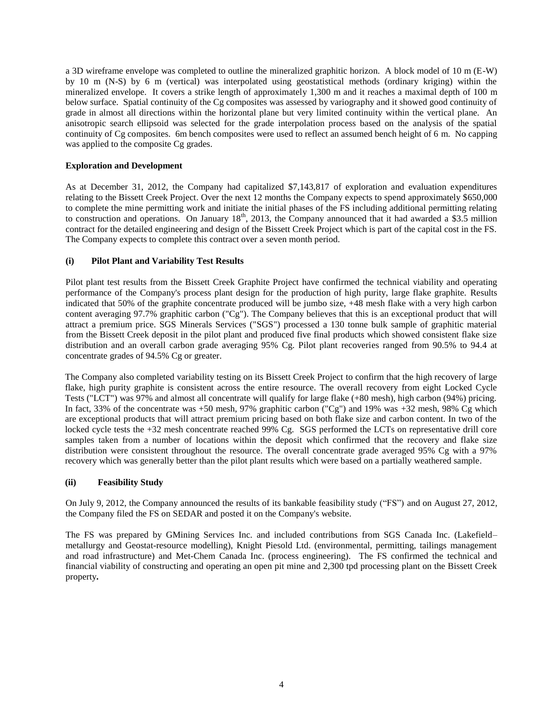a 3D wireframe envelope was completed to outline the mineralized graphitic horizon. A block model of 10 m (E-W) by 10 m (N-S) by 6 m (vertical) was interpolated using geostatistical methods (ordinary kriging) within the mineralized envelope. It covers a strike length of approximately 1,300 m and it reaches a maximal depth of 100 m below surface. Spatial continuity of the Cg composites was assessed by variography and it showed good continuity of grade in almost all directions within the horizontal plane but very limited continuity within the vertical plane. An anisotropic search ellipsoid was selected for the grade interpolation process based on the analysis of the spatial continuity of Cg composites. 6m bench composites were used to reflect an assumed bench height of 6 m. No capping was applied to the composite Cg grades.

# **Exploration and Development**

As at December 31, 2012, the Company had capitalized \$7,143,817 of exploration and evaluation expenditures relating to the Bissett Creek Project. Over the next 12 months the Company expects to spend approximately \$650,000 to complete the mine permitting work and initiate the initial phases of the FS including additional permitting relating to construction and operations. On January  $18<sup>th</sup>$ , 2013, the Company announced that it had awarded a \$3.5 million contract for the detailed engineering and design of the Bissett Creek Project which is part of the capital cost in the FS. The Company expects to complete this contract over a seven month period.

# **(i) Pilot Plant and Variability Test Results**

Pilot plant test results from the Bissett Creek Graphite Project have confirmed the technical viability and operating performance of the Company's process plant design for the production of high purity, large flake graphite. Results indicated that 50% of the graphite concentrate produced will be jumbo size, +48 mesh flake with a very high carbon content averaging 97.7% graphitic carbon ("Cg"). The Company believes that this is an exceptional product that will attract a premium price. SGS Minerals Services ("SGS") processed a 130 tonne bulk sample of graphitic material from the Bissett Creek deposit in the pilot plant and produced five final products which showed consistent flake size distribution and an overall carbon grade averaging 95% Cg. Pilot plant recoveries ranged from 90.5% to 94.4 at concentrate grades of 94.5% Cg or greater.

The Company also completed variability testing on its Bissett Creek Project to confirm that the high recovery of large flake, high purity graphite is consistent across the entire resource. The overall recovery from eight Locked Cycle Tests ("LCT") was 97% and almost all concentrate will qualify for large flake (+80 mesh), high carbon (94%) pricing. In fact, 33% of the concentrate was +50 mesh, 97% graphitic carbon ("Cg") and 19% was +32 mesh, 98% Cg which are exceptional products that will attract premium pricing based on both flake size and carbon content. In two of the locked cycle tests the +32 mesh concentrate reached 99% Cg. SGS performed the LCTs on representative drill core samples taken from a number of locations within the deposit which confirmed that the recovery and flake size distribution were consistent throughout the resource. The overall concentrate grade averaged 95% Cg with a 97% recovery which was generally better than the pilot plant results which were based on a partially weathered sample.

## **(ii) Feasibility Study**

On July 9, 2012, the Company announced the results of its bankable feasibility study ("FS") and on August 27, 2012, the Company filed the FS on SEDAR and posted it on the Company's website.

The FS was prepared by GMining Services Inc. and included contributions from SGS Canada Inc. (Lakefield– metallurgy and Geostat-resource modelling), Knight Piesold Ltd. (environmental, permitting, tailings management and road infrastructure) and Met-Chem Canada Inc. (process engineering). The FS confirmed the technical and financial viability of constructing and operating an open pit mine and 2,300 tpd processing plant on the Bissett Creek property**.**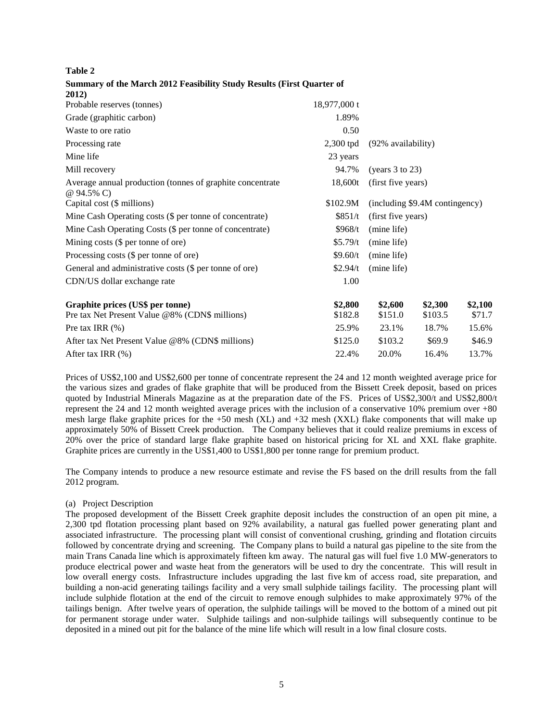# **Summary of the March 2012 Feasibility Study Results (First Quarter of 2012)**

| Probable reserves (tonnes)                                              | 18,977,000 t |                                |         |         |
|-------------------------------------------------------------------------|--------------|--------------------------------|---------|---------|
| Grade (graphitic carbon)                                                | 1.89%        |                                |         |         |
| Waste to ore ratio                                                      | 0.50         |                                |         |         |
| Processing rate                                                         | 2,300 tpd    | (92% availability)             |         |         |
| Mine life                                                               | 23 years     |                                |         |         |
| Mill recovery                                                           | 94.7%        | (years $3$ to $23$ )           |         |         |
| Average annual production (tonnes of graphite concentrate<br>@ 94.5% C) | 18,600t      | (first five years)             |         |         |
| Capital cost (\$ millions)                                              | \$102.9M     | (including \$9.4M contingency) |         |         |
| Mine Cash Operating costs (\$ per tonne of concentrate)                 | \$851/t      | (first five years)             |         |         |
| Mine Cash Operating Costs (\$ per tonne of concentrate)                 | \$968/t      | (mine life)                    |         |         |
| Mining costs $(\$$ per tonne of ore)                                    | \$5.79/t     | (mine life)                    |         |         |
| Processing costs (\$ per tonne of ore)                                  | \$9.60/t     | (mine life)                    |         |         |
| General and administrative costs (\$ per tonne of ore)                  | \$2.94/t     | (mine life)                    |         |         |
| CDN/US dollar exchange rate                                             | 1.00         |                                |         |         |
| Graphite prices (US\$ per tonne)                                        | \$2,800      | \$2,600                        | \$2,300 | \$2,100 |
| Pre tax Net Present Value @8% (CDN\$ millions)                          | \$182.8      | \$151.0                        | \$103.5 | \$71.7  |
| Pre tax IRR $(\%)$                                                      | 25.9%        | 23.1%                          | 18.7%   | 15.6%   |
| After tax Net Present Value @8% (CDN\$ millions)                        | \$125.0      | \$103.2                        | \$69.9  | \$46.9  |
| After tax IRR $(\%)$                                                    | 22.4%        | 20.0%                          | 16.4%   | 13.7%   |
|                                                                         |              |                                |         |         |

Prices of US\$2,100 and US\$2,600 per tonne of concentrate represent the 24 and 12 month weighted average price for the various sizes and grades of flake graphite that will be produced from the Bissett Creek deposit, based on prices quoted by Industrial Minerals Magazine as at the preparation date of the FS. Prices of US\$2,300/t and US\$2,800/t represent the 24 and 12 month weighted average prices with the inclusion of a conservative 10% premium over +80 mesh large flake graphite prices for the  $+50$  mesh (XL) and  $+32$  mesh (XXL) flake components that will make up approximately 50% of Bissett Creek production. The Company believes that it could realize premiums in excess of 20% over the price of standard large flake graphite based on historical pricing for XL and XXL flake graphite. Graphite prices are currently in the US\$1,400 to US\$1,800 per tonne range for premium product.

The Company intends to produce a new resource estimate and revise the FS based on the drill results from the fall 2012 program.

# (a) Project Description

The proposed development of the Bissett Creek graphite deposit includes the construction of an open pit mine, a 2,300 tpd flotation processing plant based on 92% availability, a natural gas fuelled power generating plant and associated infrastructure. The processing plant will consist of conventional crushing, grinding and flotation circuits followed by concentrate drying and screening. The Company plans to build a natural gas pipeline to the site from the main Trans Canada line which is approximately fifteen km away. The natural gas will fuel five 1.0 MW-generators to produce electrical power and waste heat from the generators will be used to dry the concentrate. This will result in low overall energy costs. Infrastructure includes upgrading the last five km of access road, site preparation, and building a non-acid generating tailings facility and a very small sulphide tailings facility. The processing plant will include sulphide flotation at the end of the circuit to remove enough sulphides to make approximately 97% of the tailings benign. After twelve years of operation, the sulphide tailings will be moved to the bottom of a mined out pit for permanent storage under water. Sulphide tailings and non-sulphide tailings will subsequently continue to be deposited in a mined out pit for the balance of the mine life which will result in a low final closure costs.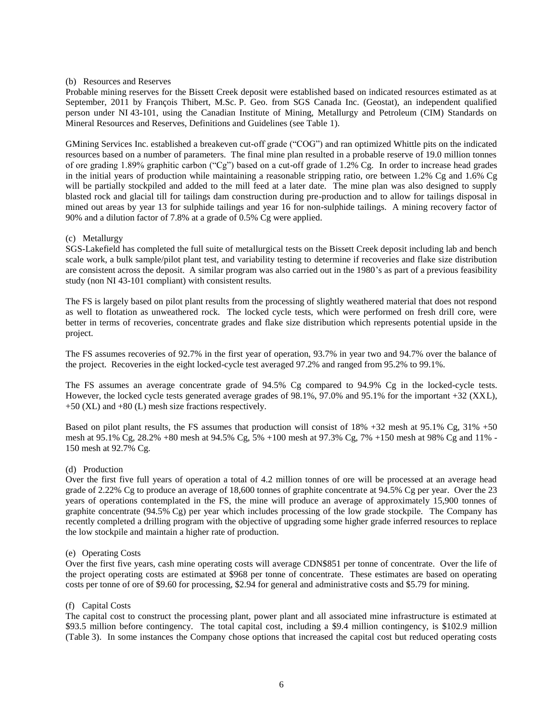## (b) Resources and Reserves

Probable mining reserves for the Bissett Creek deposit were established based on indicated resources estimated as at September, 2011 by François Thibert, M.Sc. P. Geo. from SGS Canada Inc. (Geostat), an independent qualified person under NI 43-101, using the Canadian Institute of Mining, Metallurgy and Petroleum (CIM) Standards on Mineral Resources and Reserves, Definitions and Guidelines (see Table 1).

GMining Services Inc. established a breakeven cut-off grade ("COG") and ran optimized Whittle pits on the indicated resources based on a number of parameters. The final mine plan resulted in a probable reserve of 19.0 million tonnes of ore grading 1.89% graphitic carbon ("Cg") based on a cut-off grade of 1.2% Cg. In order to increase head grades in the initial years of production while maintaining a reasonable stripping ratio, ore between 1.2% Cg and 1.6% Cg will be partially stockpiled and added to the mill feed at a later date. The mine plan was also designed to supply blasted rock and glacial till for tailings dam construction during pre-production and to allow for tailings disposal in mined out areas by year 13 for sulphide tailings and year 16 for non-sulphide tailings. A mining recovery factor of 90% and a dilution factor of 7.8% at a grade of 0.5% Cg were applied.

#### (c) Metallurgy

SGS-Lakefield has completed the full suite of metallurgical tests on the Bissett Creek deposit including lab and bench scale work, a bulk sample/pilot plant test, and variability testing to determine if recoveries and flake size distribution are consistent across the deposit. A similar program was also carried out in the 1980's as part of a previous feasibility study (non NI 43-101 compliant) with consistent results.

The FS is largely based on pilot plant results from the processing of slightly weathered material that does not respond as well to flotation as unweathered rock. The locked cycle tests, which were performed on fresh drill core, were better in terms of recoveries, concentrate grades and flake size distribution which represents potential upside in the project.

The FS assumes recoveries of 92.7% in the first year of operation, 93.7% in year two and 94.7% over the balance of the project. Recoveries in the eight locked-cycle test averaged 97.2% and ranged from 95.2% to 99.1%.

The FS assumes an average concentrate grade of 94.5% Cg compared to 94.9% Cg in the locked-cycle tests. However, the locked cycle tests generated average grades of 98.1%, 97.0% and 95.1% for the important +32 (XXL), +50 (XL) and +80 (L) mesh size fractions respectively.

Based on pilot plant results, the FS assumes that production will consist of 18% +32 mesh at 95.1% Cg, 31% +50 mesh at 95.1% Cg, 28.2% +80 mesh at 94.5% Cg, 5% +100 mesh at 97.3% Cg, 7% +150 mesh at 98% Cg and 11% - 150 mesh at 92.7% Cg.

#### (d) Production

Over the first five full years of operation a total of 4.2 million tonnes of ore will be processed at an average head grade of 2.22% Cg to produce an average of 18,600 tonnes of graphite concentrate at 94.5% Cg per year. Over the 23 years of operations contemplated in the FS, the mine will produce an average of approximately 15,900 tonnes of graphite concentrate (94.5% Cg) per year which includes processing of the low grade stockpile. The Company has recently completed a drilling program with the objective of upgrading some higher grade inferred resources to replace the low stockpile and maintain a higher rate of production.

#### (e) Operating Costs

Over the first five years, cash mine operating costs will average CDN\$851 per tonne of concentrate. Over the life of the project operating costs are estimated at \$968 per tonne of concentrate. These estimates are based on operating costs per tonne of ore of \$9.60 for processing, \$2.94 for general and administrative costs and \$5.79 for mining.

#### (f) Capital Costs

The capital cost to construct the processing plant, power plant and all associated mine infrastructure is estimated at \$93.5 million before contingency. The total capital cost, including a \$9.4 million contingency, is \$102.9 million (Table 3). In some instances the Company chose options that increased the capital cost but reduced operating costs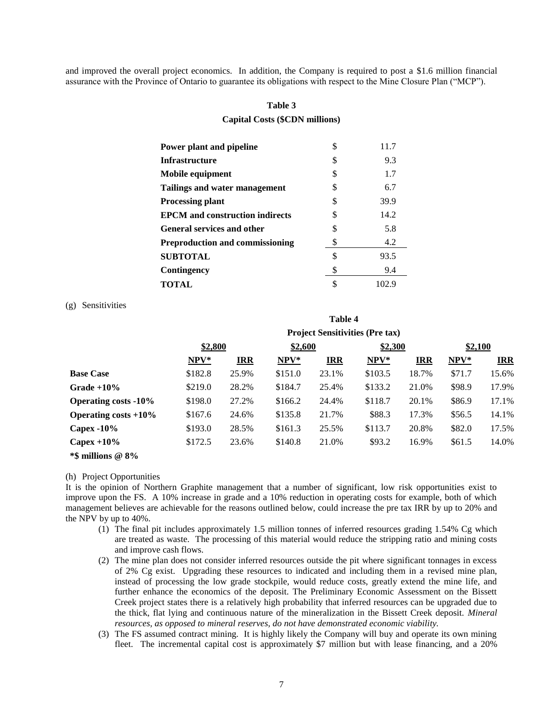and improved the overall project economics. In addition, the Company is required to post a \$1.6 million financial assurance with the Province of Ontario to guarantee its obligations with respect to the Mine Closure Plan ("MCP").

## **Table 3**

## **Capital Costs (\$CDN millions)**

| Power plant and pipeline               | \$ | 11.7  |
|----------------------------------------|----|-------|
| <b>Infrastructure</b>                  | \$ | 9.3   |
| Mobile equipment                       | S  | 1.7   |
| Tailings and water management          | S  | 6.7   |
| <b>Processing plant</b>                | S  | 39.9  |
| <b>EPCM</b> and construction indirects | S  | 14.2  |
| <b>General services and other</b>      | \$ | 5.8   |
| <b>Preproduction and commissioning</b> | \$ | 4.2   |
| <b>SUBTOTAL</b>                        | \$ | 93.5  |
| Contingency                            |    | 9.4   |
| TOTAL                                  |    | 102.9 |

(g) Sensitivities

|                             | <b>Project Sensitivities (Pre tax)</b> |            |         |                    |         |            |        |            |  |
|-----------------------------|----------------------------------------|------------|---------|--------------------|---------|------------|--------|------------|--|
|                             | \$2,800                                |            |         | \$2,300<br>\$2,600 |         |            |        | \$2,100    |  |
|                             | NPV*                                   | <b>IRR</b> | NPV*    | <b>IRR</b>         | NPV*    | <b>IRR</b> | $NPV*$ | <b>IRR</b> |  |
| <b>Base Case</b>            | \$182.8                                | 25.9%      | \$151.0 | 23.1%              | \$103.5 | 18.7%      | \$71.7 | 15.6%      |  |
| Grade $+10\%$               | \$219.0                                | 28.2%      | \$184.7 | 25.4%              | \$133.2 | 21.0%      | \$98.9 | 17.9%      |  |
| <b>Operating costs -10%</b> | \$198.0                                | 27.2%      | \$166.2 | 24.4%              | \$118.7 | 20.1%      | \$86.9 | 17.1%      |  |
| Operating costs $+10\%$     | \$167.6                                | 24.6%      | \$135.8 | 21.7%              | \$88.3  | 17.3%      | \$56.5 | 14.1%      |  |
| Capex $-10\%$               | \$193.0                                | 28.5%      | \$161.3 | 25.5%              | \$113.7 | 20.8%      | \$82.0 | 17.5%      |  |
| Capex $+10\%$               | \$172.5                                | 23.6%      | \$140.8 | 21.0%              | \$93.2  | 16.9%      | \$61.5 | 14.0%      |  |
| $*$ \$ millions @ 8%        |                                        |            |         |                    |         |            |        |            |  |

**Table 4**

#### (h) Project Opportunities

It is the opinion of Northern Graphite management that a number of significant, low risk opportunities exist to improve upon the FS. A 10% increase in grade and a 10% reduction in operating costs for example, both of which management believes are achievable for the reasons outlined below, could increase the pre tax IRR by up to 20% and the NPV by up to 40%.

- (1) The final pit includes approximately 1.5 million tonnes of inferred resources grading 1.54% Cg which are treated as waste. The processing of this material would reduce the stripping ratio and mining costs and improve cash flows.
- (2) The mine plan does not consider inferred resources outside the pit where significant tonnages in excess of 2% Cg exist. Upgrading these resources to indicated and including them in a revised mine plan, instead of processing the low grade stockpile, would reduce costs, greatly extend the mine life, and further enhance the economics of the deposit. The Preliminary Economic Assessment on the Bissett Creek project states there is a relatively high probability that inferred resources can be upgraded due to the thick, flat lying and continuous nature of the mineralization in the Bissett Creek deposit. *Mineral resources, as opposed to mineral reserves, do not have demonstrated economic viability.*
- (3) The FS assumed contract mining. It is highly likely the Company will buy and operate its own mining fleet. The incremental capital cost is approximately \$7 million but with lease financing, and a 20%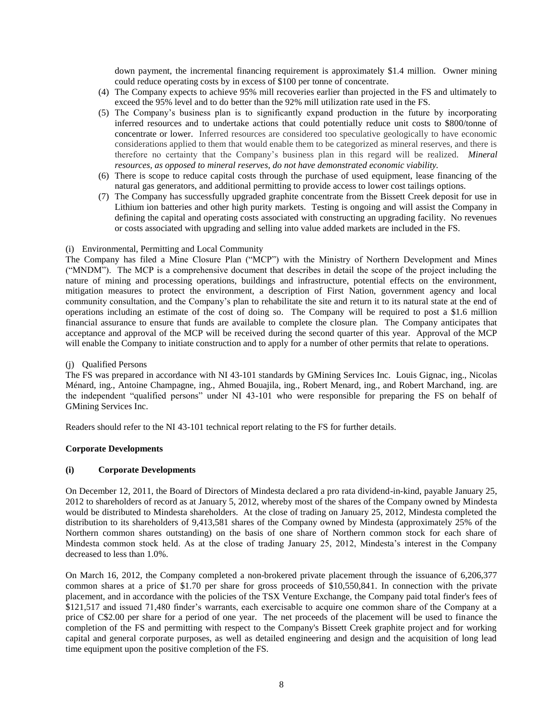down payment, the incremental financing requirement is approximately \$1.4 million. Owner mining could reduce operating costs by in excess of \$100 per tonne of concentrate.

- (4) The Company expects to achieve 95% mill recoveries earlier than projected in the FS and ultimately to exceed the 95% level and to do better than the 92% mill utilization rate used in the FS.
- (5) The Company's business plan is to significantly expand production in the future by incorporating inferred resources and to undertake actions that could potentially reduce unit costs to \$800/tonne of concentrate or lower. Inferred resources are considered too speculative geologically to have economic considerations applied to them that would enable them to be categorized as mineral reserves, and there is therefore no certainty that the Company's business plan in this regard will be realized. *Mineral resources, as opposed to mineral reserves, do not have demonstrated economic viability.*
- (6) There is scope to reduce capital costs through the purchase of used equipment, lease financing of the natural gas generators, and additional permitting to provide access to lower cost tailings options.
- (7) The Company has successfully upgraded graphite concentrate from the Bissett Creek deposit for use in Lithium ion batteries and other high purity markets. Testing is ongoing and will assist the Company in defining the capital and operating costs associated with constructing an upgrading facility. No revenues or costs associated with upgrading and selling into value added markets are included in the FS.

## (i) Environmental, Permitting and Local Community

The Company has filed a Mine Closure Plan ("MCP") with the Ministry of Northern Development and Mines ("MNDM"). The MCP is a comprehensive document that describes in detail the scope of the project including the nature of mining and processing operations, buildings and infrastructure, potential effects on the environment, mitigation measures to protect the environment, a description of First Nation, government agency and local community consultation, and the Company's plan to rehabilitate the site and return it to its natural state at the end of operations including an estimate of the cost of doing so. The Company will be required to post a \$1.6 million financial assurance to ensure that funds are available to complete the closure plan. The Company anticipates that acceptance and approval of the MCP will be received during the second quarter of this year. Approval of the MCP will enable the Company to initiate construction and to apply for a number of other permits that relate to operations.

# (j) Qualified Persons

The FS was prepared in accordance with NI 43-101 standards by GMining Services Inc. Louis Gignac, ing., Nicolas Ménard, ing., Antoine Champagne, ing., Ahmed Bouajila, ing., Robert Menard, ing., and Robert Marchand, ing. are the independent "qualified persons" under NI 43-101 who were responsible for preparing the FS on behalf of GMining Services Inc.

Readers should refer to the NI 43-101 technical report relating to the FS for further details.

## **Corporate Developments**

# **(i) Corporate Developments**

On December 12, 2011, the Board of Directors of Mindesta declared a pro rata dividend-in-kind, payable January 25, 2012 to shareholders of record as at January 5, 2012, whereby most of the shares of the Company owned by Mindesta would be distributed to Mindesta shareholders. At the close of trading on January 25, 2012, Mindesta completed the distribution to its shareholders of 9,413,581 shares of the Company owned by Mindesta (approximately 25% of the Northern common shares outstanding) on the basis of one share of Northern common stock for each share of Mindesta common stock held. As at the close of trading January 25, 2012, Mindesta's interest in the Company decreased to less than 1.0%.

On March 16, 2012, the Company completed a non-brokered private placement through the issuance of 6,206,377 common shares at a price of \$1.70 per share for gross proceeds of \$10,550,841. In connection with the private placement, and in accordance with the policies of the TSX Venture Exchange, the Company paid total finder's fees of \$121,517 and issued 71,480 finder's warrants, each exercisable to acquire one common share of the Company at a price of C\$2.00 per share for a period of one year. The net proceeds of the placement will be used to finance the completion of the FS and permitting with respect to the Company's Bissett Creek graphite project and for working capital and general corporate purposes, as well as detailed engineering and design and the acquisition of long lead time equipment upon the positive completion of the FS.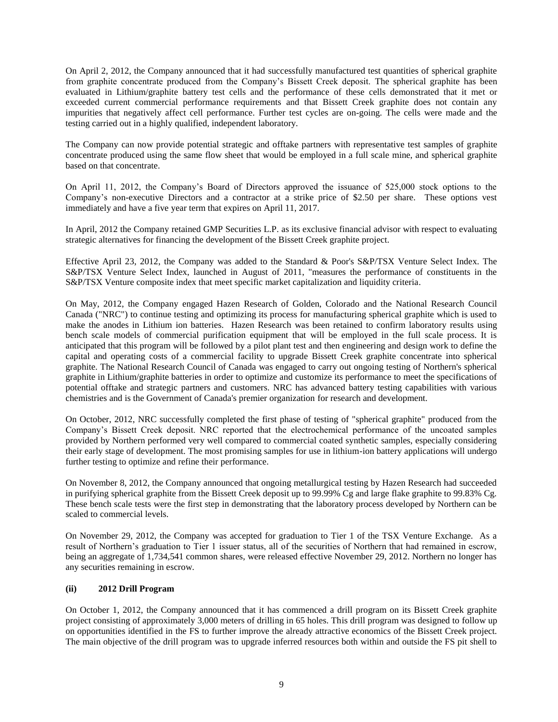On April 2, 2012, the Company announced that it had successfully manufactured test quantities of spherical graphite from graphite concentrate produced from the Company's Bissett Creek deposit. The spherical graphite has been evaluated in Lithium/graphite battery test cells and the performance of these cells demonstrated that it met or exceeded current commercial performance requirements and that Bissett Creek graphite does not contain any impurities that negatively affect cell performance. Further test cycles are on-going. The cells were made and the testing carried out in a highly qualified, independent laboratory.

The Company can now provide potential strategic and offtake partners with representative test samples of graphite concentrate produced using the same flow sheet that would be employed in a full scale mine, and spherical graphite based on that concentrate.

On April 11, 2012, the Company's Board of Directors approved the issuance of 525,000 stock options to the Company's non-executive Directors and a contractor at a strike price of \$2.50 per share. These options vest immediately and have a five year term that expires on April 11, 2017.

In April, 2012 the Company retained GMP Securities L.P. as its exclusive financial advisor with respect to evaluating strategic alternatives for financing the development of the Bissett Creek graphite project.

Effective April 23, 2012, the Company was added to the Standard & Poor's S&P/TSX Venture Select Index. The S&P/TSX Venture Select Index, launched in August of 2011, "measures the performance of constituents in the S&P/TSX Venture composite index that meet specific market capitalization and liquidity criteria.

On May, 2012, the Company engaged Hazen Research of Golden, Colorado and the National Research Council Canada ("NRC") to continue testing and optimizing its process for manufacturing spherical graphite which is used to make the anodes in Lithium ion batteries. Hazen Research was been retained to confirm laboratory results using bench scale models of commercial purification equipment that will be employed in the full scale process. It is anticipated that this program will be followed by a pilot plant test and then engineering and design work to define the capital and operating costs of a commercial facility to upgrade Bissett Creek graphite concentrate into spherical graphite. The National Research Council of Canada was engaged to carry out ongoing testing of Northern's spherical graphite in Lithium/graphite batteries in order to optimize and customize its performance to meet the specifications of potential offtake and strategic partners and customers. NRC has advanced battery testing capabilities with various chemistries and is the Government of Canada's premier organization for research and development.

On October, 2012, NRC successfully completed the first phase of testing of "spherical graphite" produced from the Company's Bissett Creek deposit. NRC reported that the electrochemical performance of the uncoated samples provided by Northern performed very well compared to commercial coated synthetic samples, especially considering their early stage of development. The most promising samples for use in lithium-ion battery applications will undergo further testing to optimize and refine their performance.

On November 8, 2012, the Company announced that ongoing metallurgical testing by Hazen Research had succeeded in purifying spherical graphite from the Bissett Creek deposit up to 99.99% Cg and large flake graphite to 99.83% Cg. These bench scale tests were the first step in demonstrating that the laboratory process developed by Northern can be scaled to commercial levels.

On November 29, 2012, the Company was accepted for graduation to Tier 1 of the TSX Venture Exchange. As a result of Northern's graduation to Tier 1 issuer status, all of the securities of Northern that had remained in escrow, being an aggregate of 1,734,541 common shares, were released effective November 29, 2012. Northern no longer has any securities remaining in escrow.

# **(ii) 2012 Drill Program**

On October 1, 2012, the Company announced that it has commenced a drill program on its Bissett Creek graphite project consisting of approximately 3,000 meters of drilling in 65 holes. This drill program was designed to follow up on opportunities identified in the FS to further improve the already attractive economics of the Bissett Creek project. The main objective of the drill program was to upgrade inferred resources both within and outside the FS pit shell to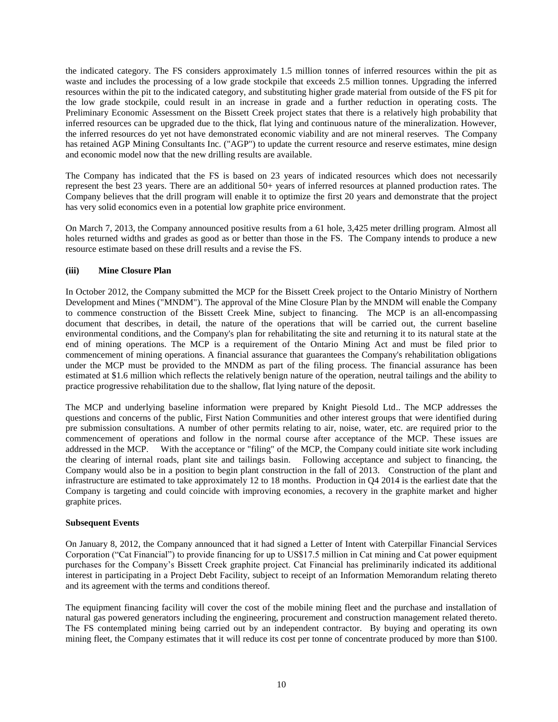the indicated category. The FS considers approximately 1.5 million tonnes of inferred resources within the pit as waste and includes the processing of a low grade stockpile that exceeds 2.5 million tonnes. Upgrading the inferred resources within the pit to the indicated category, and substituting higher grade material from outside of the FS pit for the low grade stockpile, could result in an increase in grade and a further reduction in operating costs. The Preliminary Economic Assessment on the Bissett Creek project states that there is a relatively high probability that inferred resources can be upgraded due to the thick, flat lying and continuous nature of the mineralization. However, the inferred resources do yet not have demonstrated economic viability and are not mineral reserves. The Company has retained AGP Mining Consultants Inc. ("AGP") to update the current resource and reserve estimates, mine design and economic model now that the new drilling results are available.

The Company has indicated that the FS is based on 23 years of indicated resources which does not necessarily represent the best 23 years. There are an additional 50+ years of inferred resources at planned production rates. The Company believes that the drill program will enable it to optimize the first 20 years and demonstrate that the project has very solid economics even in a potential low graphite price environment.

On March 7, 2013, the Company announced positive results from a 61 hole, 3,425 meter drilling program. Almost all holes returned widths and grades as good as or better than those in the FS. The Company intends to produce a new resource estimate based on these drill results and a revise the FS.

# **(iii) Mine Closure Plan**

In October 2012, the Company submitted the MCP for the Bissett Creek project to the Ontario Ministry of Northern Development and Mines ("MNDM"). The approval of the Mine Closure Plan by the MNDM will enable the Company to commence construction of the Bissett Creek Mine, subject to financing. The MCP is an all-encompassing document that describes, in detail, the nature of the operations that will be carried out, the current baseline environmental conditions, and the Company's plan for rehabilitating the site and returning it to its natural state at the end of mining operations. The MCP is a requirement of the Ontario Mining Act and must be filed prior to commencement of mining operations. A financial assurance that guarantees the Company's rehabilitation obligations under the MCP must be provided to the MNDM as part of the filing process. The financial assurance has been estimated at \$1.6 million which reflects the relatively benign nature of the operation, neutral tailings and the ability to practice progressive rehabilitation due to the shallow, flat lying nature of the deposit.

The MCP and underlying baseline information were prepared by Knight Piesold Ltd.. The MCP addresses the questions and concerns of the public, First Nation Communities and other interest groups that were identified during pre submission consultations. A number of other permits relating to air, noise, water, etc. are required prior to the commencement of operations and follow in the normal course after acceptance of the MCP. These issues are addressed in the MCP. With the acceptance or "filing" of the MCP, the Company could initiate site work including the clearing of internal roads, plant site and tailings basin. Following acceptance and subject to financing, the Company would also be in a position to begin plant construction in the fall of 2013. Construction of the plant and infrastructure are estimated to take approximately 12 to 18 months. Production in Q4 2014 is the earliest date that the Company is targeting and could coincide with improving economies, a recovery in the graphite market and higher graphite prices.

## **Subsequent Events**

On January 8, 2012, the Company announced that it had signed a Letter of Intent with Caterpillar Financial Services Corporation ("Cat Financial") to provide financing for up to US\$17.5 million in Cat mining and Cat power equipment purchases for the Company's Bissett Creek graphite project. Cat Financial has preliminarily indicated its additional interest in participating in a Project Debt Facility, subject to receipt of an Information Memorandum relating thereto and its agreement with the terms and conditions thereof.

The equipment financing facility will cover the cost of the mobile mining fleet and the purchase and installation of natural gas powered generators including the engineering, procurement and construction management related thereto. The FS contemplated mining being carried out by an independent contractor. By buying and operating its own mining fleet, the Company estimates that it will reduce its cost per tonne of concentrate produced by more than \$100.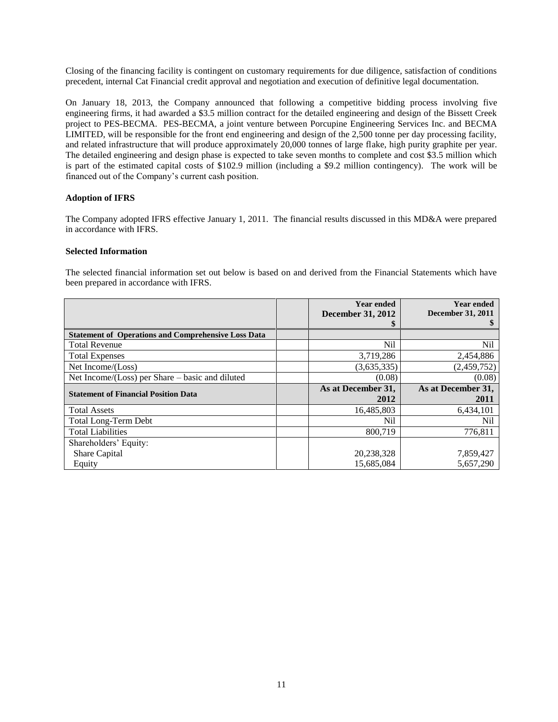Closing of the financing facility is contingent on customary requirements for due diligence, satisfaction of conditions precedent, internal Cat Financial credit approval and negotiation and execution of definitive legal documentation.

On January 18, 2013, the Company announced that following a competitive bidding process involving five engineering firms, it had awarded a \$3.5 million contract for the detailed engineering and design of the Bissett Creek project to PES-BECMA. PES-BECMA, a joint venture between Porcupine Engineering Services Inc. and BECMA LIMITED, will be responsible for the front end engineering and design of the 2,500 tonne per day processing facility, and related infrastructure that will produce approximately 20,000 tonnes of large flake, high purity graphite per year. The detailed engineering and design phase is expected to take seven months to complete and cost \$3.5 million which is part of the estimated capital costs of \$102.9 million (including a \$9.2 million contingency). The work will be financed out of the Company's current cash position.

# **Adoption of IFRS**

The Company adopted IFRS effective January 1, 2011. The financial results discussed in this MD&A were prepared in accordance with IFRS.

# **Selected Information**

The selected financial information set out below is based on and derived from the Financial Statements which have been prepared in accordance with IFRS.

|                                                            | <b>Year ended</b>        | <b>Year ended</b>        |
|------------------------------------------------------------|--------------------------|--------------------------|
|                                                            | <b>December 31, 2012</b> | <b>December 31, 2011</b> |
|                                                            |                          |                          |
| <b>Statement of Operations and Comprehensive Loss Data</b> |                          |                          |
| <b>Total Revenue</b>                                       | Nil                      | Nil                      |
| <b>Total Expenses</b>                                      | 3,719,286                | 2,454,886                |
| Net Income/(Loss)                                          | (3,635,335)              | (2,459,752)              |
| Net Income/ $(Loss)$ per Share – basic and diluted         | (0.08)                   | (0.08)                   |
| <b>Statement of Financial Position Data</b>                | As at December 31,       | As at December 31,       |
|                                                            | 2012                     | 2011                     |
| <b>Total Assets</b>                                        | 16,485,803               | 6,434,101                |
| <b>Total Long-Term Debt</b>                                | Nil                      | N <sub>il</sub>          |
| <b>Total Liabilities</b>                                   | 800.719                  | 776,811                  |
| Shareholders' Equity:                                      |                          |                          |
| Share Capital                                              | 20,238,328               | 7,859,427                |
| Equity                                                     | 15.685.084               | 5.657.290                |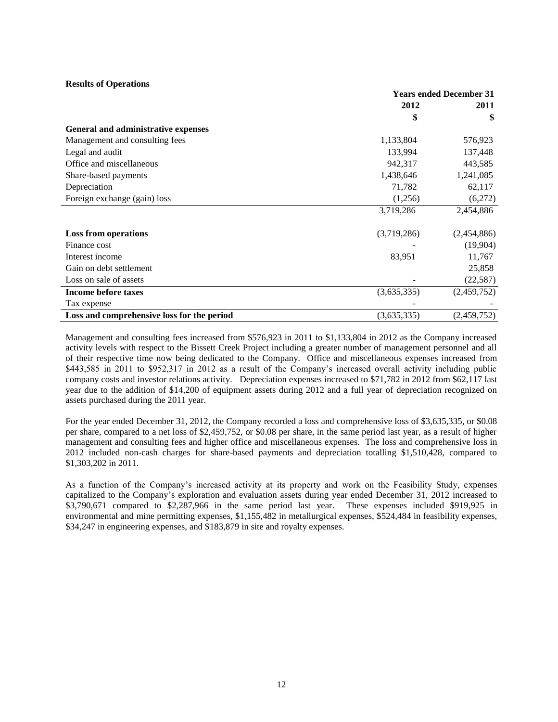## **Results of Operations**

|                                            | <b>Years ended December 31</b> |             |  |
|--------------------------------------------|--------------------------------|-------------|--|
|                                            | 2012                           | 2011        |  |
|                                            | \$                             | \$          |  |
| General and administrative expenses        |                                |             |  |
| Management and consulting fees             | 1,133,804                      | 576,923     |  |
| Legal and audit                            | 133,994                        | 137,448     |  |
| Office and miscellaneous                   | 942,317                        | 443,585     |  |
| Share-based payments                       | 1,438,646                      | 1,241,085   |  |
| Depreciation                               | 71,782                         | 62,117      |  |
| Foreign exchange (gain) loss               | (1,256)                        | (6,272)     |  |
|                                            | 3,719,286                      | 2,454,886   |  |
| <b>Loss from operations</b>                | (3,719,286)                    | (2,454,886) |  |
| Finance cost                               |                                | (19,904)    |  |
| Interest income                            | 83,951                         | 11,767      |  |
| Gain on debt settlement                    |                                | 25,858      |  |
| Loss on sale of assets                     |                                | (22, 587)   |  |
| <b>Income before taxes</b>                 | (3,635,335)                    | (2,459,752) |  |
| Tax expense                                |                                |             |  |
| Loss and comprehensive loss for the period | (3,635,335)                    | (2,459,752) |  |

Management and consulting fees increased from \$576,923 in 2011 to \$1,133,804 in 2012 as the Company increased activity levels with respect to the Bissett Creek Project including a greater number of management personnel and all of their respective time now being dedicated to the Company. Office and miscellaneous expenses increased from \$443,585 in 2011 to \$952,317 in 2012 as a result of the Company's increased overall activity including public company costs and investor relations activity. Depreciation expenses increased to \$71,782 in 2012 from \$62,117 last year due to the addition of \$14,200 of equipment assets during 2012 and a full year of depreciation recognized on assets purchased during the 2011 year.

For the year ended December 31, 2012, the Company recorded a loss and comprehensive loss of \$3,635,335, or \$0.08 per share, compared to a net loss of \$2,459,752, or \$0.08 per share, in the same period last year, as a result of higher management and consulting fees and higher office and miscellaneous expenses. The loss and comprehensive loss in 2012 included non-cash charges for share-based payments and depreciation totalling \$1,510,428, compared to \$1,303,202 in 2011.

As a function of the Company's increased activity at its property and work on the Feasibility Study, expenses capitalized to the Company's exploration and evaluation assets during year ended December 31, 2012 increased to \$3,790,671 compared to \$2,287,966 in the same period last year. These expenses included \$919,925 in environmental and mine permitting expenses, \$1,155,482 in metallurgical expenses, \$524,484 in feasibility expenses, \$34,247 in engineering expenses, and \$183,879 in site and royalty expenses.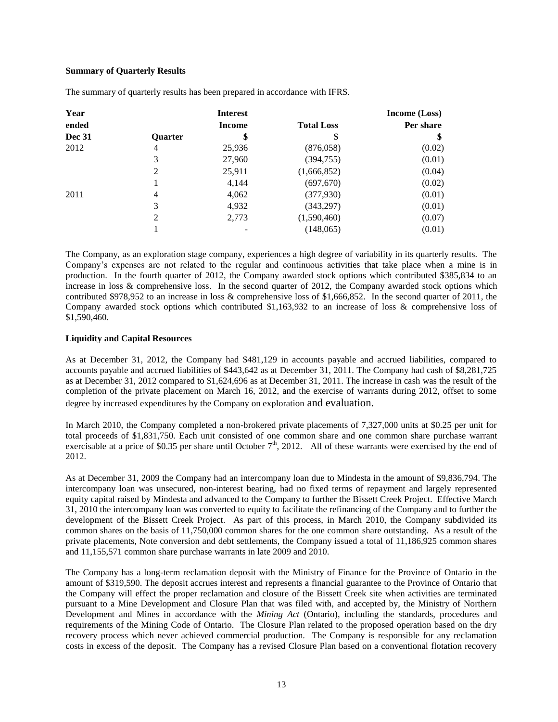# **Summary of Quarterly Results**

| Year          |                | <b>Interest</b> |                   | Income (Loss) |
|---------------|----------------|-----------------|-------------------|---------------|
| ended         |                | <b>Income</b>   | <b>Total Loss</b> | Per share     |
| <b>Dec 31</b> | <b>Ouarter</b> | \$              | \$                | \$            |
| 2012          | 4              | 25,936          | (876,058)         | (0.02)        |
|               | 3              | 27,960          | (394, 755)        | (0.01)        |
|               | 2              | 25,911          | (1,666,852)       | (0.04)        |
|               |                | 4,144           | (697,670)         | (0.02)        |
| 2011          | 4              | 4,062           | (377,930)         | (0.01)        |
|               | 3              | 4,932           | (343,297)         | (0.01)        |
|               | 2              | 2,773           | (1,590,460)       | (0.07)        |
|               |                |                 | (148,065)         | (0.01)        |

The summary of quarterly results has been prepared in accordance with IFRS.

The Company, as an exploration stage company, experiences a high degree of variability in its quarterly results. The Company's expenses are not related to the regular and continuous activities that take place when a mine is in production. In the fourth quarter of 2012, the Company awarded stock options which contributed \$385,834 to an increase in loss & comprehensive loss. In the second quarter of 2012, the Company awarded stock options which contributed \$978,952 to an increase in loss & comprehensive loss of \$1,666,852. In the second quarter of 2011, the Company awarded stock options which contributed \$1,163,932 to an increase of loss & comprehensive loss of \$1,590,460.

# **Liquidity and Capital Resources**

As at December 31, 2012, the Company had \$481,129 in accounts payable and accrued liabilities, compared to accounts payable and accrued liabilities of \$443,642 as at December 31, 2011. The Company had cash of \$8,281,725 as at December 31, 2012 compared to \$1,624,696 as at December 31, 2011. The increase in cash was the result of the completion of the private placement on March 16, 2012, and the exercise of warrants during 2012, offset to some degree by increased expenditures by the Company on exploration and evaluation.

In March 2010, the Company completed a non-brokered private placements of 7,327,000 units at \$0.25 per unit for total proceeds of \$1,831,750. Each unit consisted of one common share and one common share purchase warrant exercisable at a price of \$0.35 per share until October  $7<sup>th</sup>$ , 2012. All of these warrants were exercised by the end of 2012.

As at December 31, 2009 the Company had an intercompany loan due to Mindesta in the amount of \$9,836,794. The intercompany loan was unsecured, non-interest bearing, had no fixed terms of repayment and largely represented equity capital raised by Mindesta and advanced to the Company to further the Bissett Creek Project. Effective March 31, 2010 the intercompany loan was converted to equity to facilitate the refinancing of the Company and to further the development of the Bissett Creek Project. As part of this process, in March 2010, the Company subdivided its common shares on the basis of 11,750,000 common shares for the one common share outstanding. As a result of the private placements, Note conversion and debt settlements, the Company issued a total of 11,186,925 common shares and 11,155,571 common share purchase warrants in late 2009 and 2010.

The Company has a long-term reclamation deposit with the Ministry of Finance for the Province of Ontario in the amount of \$319,590. The deposit accrues interest and represents a financial guarantee to the Province of Ontario that the Company will effect the proper reclamation and closure of the Bissett Creek site when activities are terminated pursuant to a Mine Development and Closure Plan that was filed with, and accepted by, the Ministry of Northern Development and Mines in accordance with the *Mining Act* (Ontario), including the standards, procedures and requirements of the Mining Code of Ontario. The Closure Plan related to the proposed operation based on the dry recovery process which never achieved commercial production. The Company is responsible for any reclamation costs in excess of the deposit. The Company has a revised Closure Plan based on a conventional flotation recovery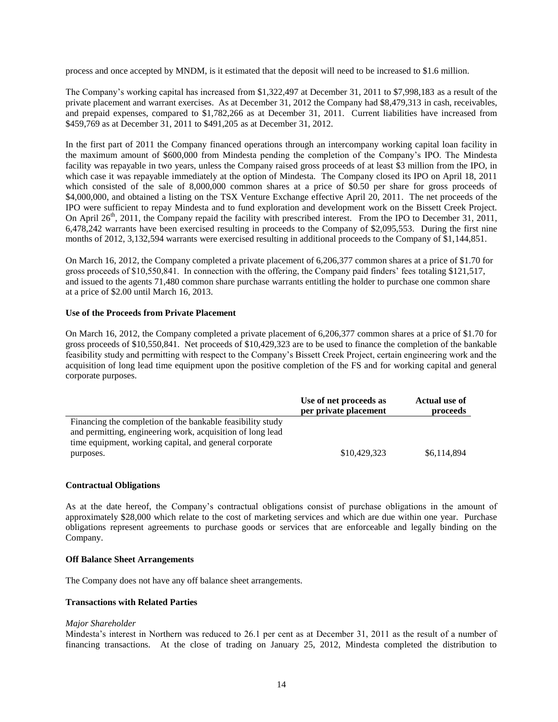process and once accepted by MNDM, is it estimated that the deposit will need to be increased to \$1.6 million.

The Company's working capital has increased from \$1,322,497 at December 31, 2011 to \$7,998,183 as a result of the private placement and warrant exercises. As at December 31, 2012 the Company had \$8,479,313 in cash, receivables, and prepaid expenses, compared to \$1,782,266 as at December 31, 2011. Current liabilities have increased from \$459,769 as at December 31, 2011 to \$491,205 as at December 31, 2012.

In the first part of 2011 the Company financed operations through an intercompany working capital loan facility in the maximum amount of \$600,000 from Mindesta pending the completion of the Company's IPO. The Mindesta facility was repayable in two years, unless the Company raised gross proceeds of at least \$3 million from the IPO, in which case it was repayable immediately at the option of Mindesta. The Company closed its IPO on April 18, 2011 which consisted of the sale of 8,000,000 common shares at a price of \$0.50 per share for gross proceeds of \$4,000,000, and obtained a listing on the TSX Venture Exchange effective April 20, 2011. The net proceeds of the IPO were sufficient to repay Mindesta and to fund exploration and development work on the Bissett Creek Project. On April 26<sup>th</sup>, 2011, the Company repaid the facility with prescribed interest. From the IPO to December 31, 2011, 6,478,242 warrants have been exercised resulting in proceeds to the Company of \$2,095,553. During the first nine months of 2012, 3,132,594 warrants were exercised resulting in additional proceeds to the Company of \$1,144,851.

On March 16, 2012, the Company completed a private placement of 6,206,377 common shares at a price of \$1.70 for gross proceeds of \$10,550,841. In connection with the offering, the Company paid finders' fees totaling \$121,517, and issued to the agents 71,480 common share purchase warrants entitling the holder to purchase one common share at a price of \$2.00 until March 16, 2013.

## **Use of the Proceeds from Private Placement**

On March 16, 2012, the Company completed a private placement of 6,206,377 common shares at a price of \$1.70 for gross proceeds of \$10,550,841. Net proceeds of \$10,429,323 are to be used to finance the completion of the bankable feasibility study and permitting with respect to the Company's Bissett Creek Project, certain engineering work and the acquisition of long lead time equipment upon the positive completion of the FS and for working capital and general corporate purposes.

|                                                            | Use of net proceeds as<br>per private placement | Actual use of<br>proceeds |
|------------------------------------------------------------|-------------------------------------------------|---------------------------|
| Financing the completion of the bankable feasibility study |                                                 |                           |
| and permitting, engineering work, acquisition of long lead |                                                 |                           |
| time equipment, working capital, and general corporate     |                                                 |                           |
| purposes.                                                  | \$10,429,323                                    | \$6,114,894               |

#### **Contractual Obligations**

As at the date hereof, the Company's contractual obligations consist of purchase obligations in the amount of approximately \$28,000 which relate to the cost of marketing services and which are due within one year. Purchase obligations represent agreements to purchase goods or services that are enforceable and legally binding on the Company.

#### **Off Balance Sheet Arrangements**

The Company does not have any off balance sheet arrangements.

# **Transactions with Related Parties**

#### *Major Shareholder*

Mindesta's interest in Northern was reduced to 26.1 per cent as at December 31, 2011 as the result of a number of financing transactions. At the close of trading on January 25, 2012, Mindesta completed the distribution to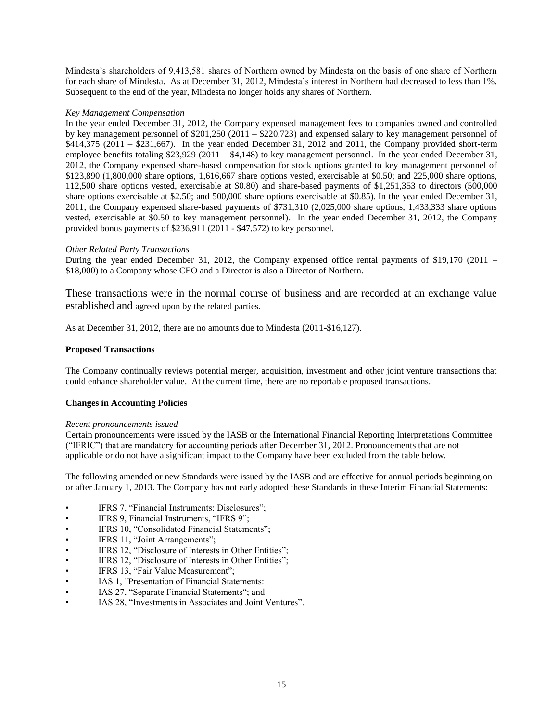Mindesta's shareholders of 9,413,581 shares of Northern owned by Mindesta on the basis of one share of Northern for each share of Mindesta. As at December 31, 2012, Mindesta's interest in Northern had decreased to less than 1%. Subsequent to the end of the year, Mindesta no longer holds any shares of Northern.

# *Key Management Compensation*

In the year ended December 31, 2012, the Company expensed management fees to companies owned and controlled by key management personnel of \$201,250 (2011 – \$220,723) and expensed salary to key management personnel of \$414,375 (2011 – \$231,667). In the year ended December 31, 2012 and 2011, the Company provided short-term employee benefits totaling \$23,929 (2011 – \$4,148) to key management personnel. In the year ended December 31, 2012, the Company expensed share-based compensation for stock options granted to key management personnel of \$123,890 (1,800,000 share options, 1,616,667 share options vested, exercisable at \$0.50; and 225,000 share options, 112,500 share options vested, exercisable at \$0.80) and share-based payments of \$1,251,353 to directors (500,000 share options exercisable at \$2.50; and 500,000 share options exercisable at \$0.85). In the year ended December 31, 2011, the Company expensed share-based payments of \$731,310 (2,025,000 share options, 1,433,333 share options vested, exercisable at \$0.50 to key management personnel). In the year ended December 31, 2012, the Company provided bonus payments of \$236,911 (2011 - \$47,572) to key personnel.

# *Other Related Party Transactions*

During the year ended December 31, 2012, the Company expensed office rental payments of \$19,170 (2011 – \$18,000) to a Company whose CEO and a Director is also a Director of Northern.

These transactions were in the normal course of business and are recorded at an exchange value established and agreed upon by the related parties.

As at December 31, 2012, there are no amounts due to Mindesta (2011-\$16,127).

# **Proposed Transactions**

The Company continually reviews potential merger, acquisition, investment and other joint venture transactions that could enhance shareholder value. At the current time, there are no reportable proposed transactions.

# **Changes in Accounting Policies**

## *Recent pronouncements issued*

Certain pronouncements were issued by the IASB or the International Financial Reporting Interpretations Committee ("IFRIC") that are mandatory for accounting periods after December 31, 2012. Pronouncements that are not applicable or do not have a significant impact to the Company have been excluded from the table below.

The following amended or new Standards were issued by the IASB and are effective for annual periods beginning on or after January 1, 2013. The Company has not early adopted these Standards in these Interim Financial Statements:

- IFRS 7, "Financial Instruments: Disclosures";
- IFRS 9, Financial Instruments, "IFRS 9";
- IFRS 10, "Consolidated Financial Statements";
- IFRS 11, "Joint Arrangements";
- IFRS 12, "Disclosure of Interests in Other Entities";
- IFRS 12, "Disclosure of Interests in Other Entities";
- IFRS 13, "Fair Value Measurement";
- IAS 1, "Presentation of Financial Statements:
- IAS 27, "Separate Financial Statements"; and
- IAS 28, "Investments in Associates and Joint Ventures".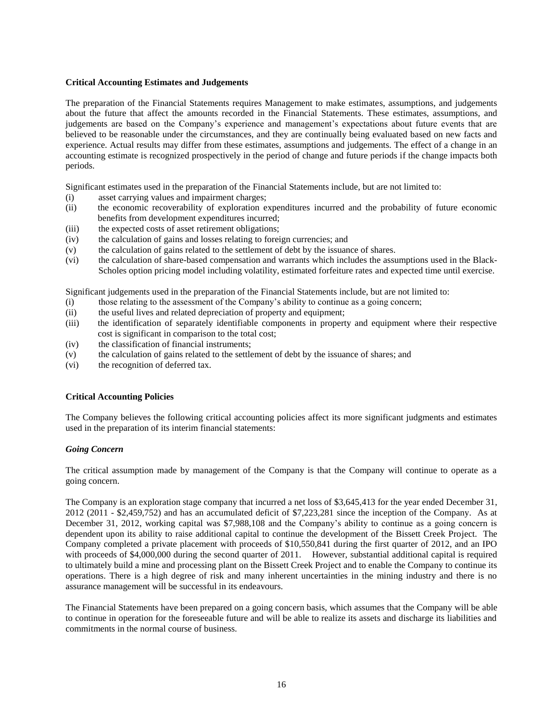# **Critical Accounting Estimates and Judgements**

The preparation of the Financial Statements requires Management to make estimates, assumptions, and judgements about the future that affect the amounts recorded in the Financial Statements. These estimates, assumptions, and judgements are based on the Company's experience and management's expectations about future events that are believed to be reasonable under the circumstances, and they are continually being evaluated based on new facts and experience. Actual results may differ from these estimates, assumptions and judgements. The effect of a change in an accounting estimate is recognized prospectively in the period of change and future periods if the change impacts both periods.

Significant estimates used in the preparation of the Financial Statements include, but are not limited to:

- (i) asset carrying values and impairment charges;
- (ii) the economic recoverability of exploration expenditures incurred and the probability of future economic benefits from development expenditures incurred;
- (iii) the expected costs of asset retirement obligations;
- (iv) the calculation of gains and losses relating to foreign currencies; and
- (v) the calculation of gains related to the settlement of debt by the issuance of shares.
- (vi) the calculation of share-based compensation and warrants which includes the assumptions used in the Black-Scholes option pricing model including volatility, estimated forfeiture rates and expected time until exercise.

Significant judgements used in the preparation of the Financial Statements include, but are not limited to:

- (i) those relating to the assessment of the Company's ability to continue as a going concern;
- (ii) the useful lives and related depreciation of property and equipment;
- (iii) the identification of separately identifiable components in property and equipment where their respective cost is significant in comparison to the total cost;
- (iv) the classification of financial instruments;
- (v) the calculation of gains related to the settlement of debt by the issuance of shares; and
- (vi) the recognition of deferred tax.

## **Critical Accounting Policies**

The Company believes the following critical accounting policies affect its more significant judgments and estimates used in the preparation of its interim financial statements:

## *Going Concern*

The critical assumption made by management of the Company is that the Company will continue to operate as a going concern.

The Company is an exploration stage company that incurred a net loss of \$3,645,413 for the year ended December 31, 2012 (2011 - \$2,459,752) and has an accumulated deficit of \$7,223,281 since the inception of the Company. As at December 31, 2012, working capital was \$7,988,108 and the Company's ability to continue as a going concern is dependent upon its ability to raise additional capital to continue the development of the Bissett Creek Project. The Company completed a private placement with proceeds of \$10,550,841 during the first quarter of 2012, and an IPO with proceeds of \$4,000,000 during the second quarter of 2011. However, substantial additional capital is required to ultimately build a mine and processing plant on the Bissett Creek Project and to enable the Company to continue its operations. There is a high degree of risk and many inherent uncertainties in the mining industry and there is no assurance management will be successful in its endeavours.

The Financial Statements have been prepared on a going concern basis, which assumes that the Company will be able to continue in operation for the foreseeable future and will be able to realize its assets and discharge its liabilities and commitments in the normal course of business.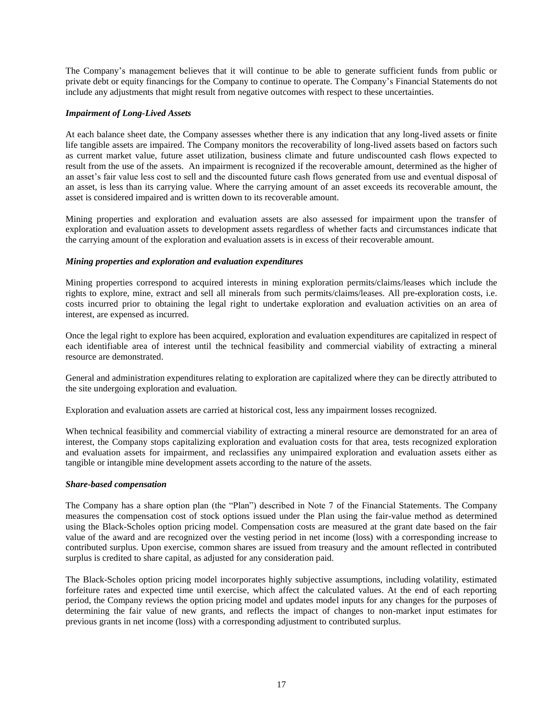The Company's management believes that it will continue to be able to generate sufficient funds from public or private debt or equity financings for the Company to continue to operate. The Company's Financial Statements do not include any adjustments that might result from negative outcomes with respect to these uncertainties.

# *Impairment of Long-Lived Assets*

At each balance sheet date, the Company assesses whether there is any indication that any long-lived assets or finite life tangible assets are impaired. The Company monitors the recoverability of long-lived assets based on factors such as current market value, future asset utilization, business climate and future undiscounted cash flows expected to result from the use of the assets. An impairment is recognized if the recoverable amount, determined as the higher of an asset's fair value less cost to sell and the discounted future cash flows generated from use and eventual disposal of an asset, is less than its carrying value. Where the carrying amount of an asset exceeds its recoverable amount, the asset is considered impaired and is written down to its recoverable amount.

Mining properties and exploration and evaluation assets are also assessed for impairment upon the transfer of exploration and evaluation assets to development assets regardless of whether facts and circumstances indicate that the carrying amount of the exploration and evaluation assets is in excess of their recoverable amount.

## *Mining properties and exploration and evaluation expenditures*

Mining properties correspond to acquired interests in mining exploration permits/claims/leases which include the rights to explore, mine, extract and sell all minerals from such permits/claims/leases. All pre-exploration costs, i.e. costs incurred prior to obtaining the legal right to undertake exploration and evaluation activities on an area of interest, are expensed as incurred.

Once the legal right to explore has been acquired, exploration and evaluation expenditures are capitalized in respect of each identifiable area of interest until the technical feasibility and commercial viability of extracting a mineral resource are demonstrated.

General and administration expenditures relating to exploration are capitalized where they can be directly attributed to the site undergoing exploration and evaluation.

Exploration and evaluation assets are carried at historical cost, less any impairment losses recognized.

When technical feasibility and commercial viability of extracting a mineral resource are demonstrated for an area of interest, the Company stops capitalizing exploration and evaluation costs for that area, tests recognized exploration and evaluation assets for impairment, and reclassifies any unimpaired exploration and evaluation assets either as tangible or intangible mine development assets according to the nature of the assets.

## *Share-based compensation*

The Company has a share option plan (the "Plan") described in Note 7 of the Financial Statements. The Company measures the compensation cost of stock options issued under the Plan using the fair-value method as determined using the Black-Scholes option pricing model. Compensation costs are measured at the grant date based on the fair value of the award and are recognized over the vesting period in net income (loss) with a corresponding increase to contributed surplus. Upon exercise, common shares are issued from treasury and the amount reflected in contributed surplus is credited to share capital, as adjusted for any consideration paid.

The Black-Scholes option pricing model incorporates highly subjective assumptions, including volatility, estimated forfeiture rates and expected time until exercise, which affect the calculated values. At the end of each reporting period, the Company reviews the option pricing model and updates model inputs for any changes for the purposes of determining the fair value of new grants, and reflects the impact of changes to non-market input estimates for previous grants in net income (loss) with a corresponding adjustment to contributed surplus.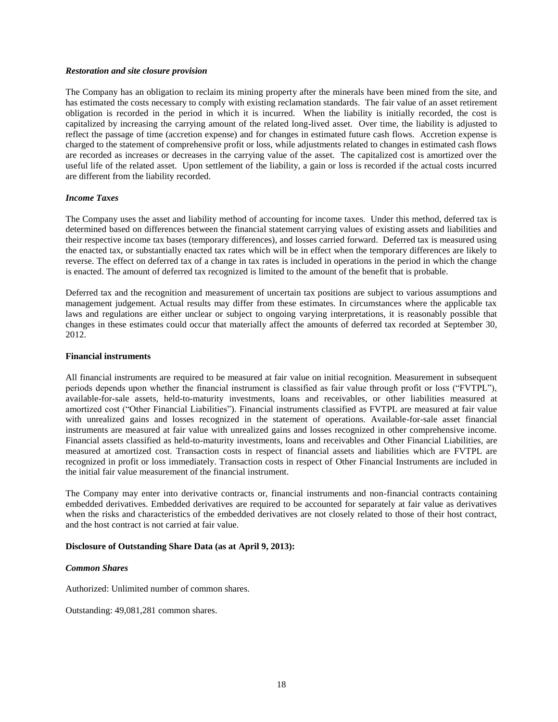#### *Restoration and site closure provision*

The Company has an obligation to reclaim its mining property after the minerals have been mined from the site, and has estimated the costs necessary to comply with existing reclamation standards. The fair value of an asset retirement obligation is recorded in the period in which it is incurred. When the liability is initially recorded, the cost is capitalized by increasing the carrying amount of the related long-lived asset. Over time, the liability is adjusted to reflect the passage of time (accretion expense) and for changes in estimated future cash flows. Accretion expense is charged to the statement of comprehensive profit or loss, while adjustments related to changes in estimated cash flows are recorded as increases or decreases in the carrying value of the asset. The capitalized cost is amortized over the useful life of the related asset. Upon settlement of the liability, a gain or loss is recorded if the actual costs incurred are different from the liability recorded.

## *Income Taxes*

The Company uses the asset and liability method of accounting for income taxes. Under this method, deferred tax is determined based on differences between the financial statement carrying values of existing assets and liabilities and their respective income tax bases (temporary differences), and losses carried forward. Deferred tax is measured using the enacted tax, or substantially enacted tax rates which will be in effect when the temporary differences are likely to reverse. The effect on deferred tax of a change in tax rates is included in operations in the period in which the change is enacted. The amount of deferred tax recognized is limited to the amount of the benefit that is probable.

Deferred tax and the recognition and measurement of uncertain tax positions are subject to various assumptions and management judgement. Actual results may differ from these estimates. In circumstances where the applicable tax laws and regulations are either unclear or subject to ongoing varying interpretations, it is reasonably possible that changes in these estimates could occur that materially affect the amounts of deferred tax recorded at September 30, 2012.

## **Financial instruments**

All financial instruments are required to be measured at fair value on initial recognition. Measurement in subsequent periods depends upon whether the financial instrument is classified as fair value through profit or loss ("FVTPL"), available-for-sale assets, held-to-maturity investments, loans and receivables, or other liabilities measured at amortized cost ("Other Financial Liabilities"). Financial instruments classified as FVTPL are measured at fair value with unrealized gains and losses recognized in the statement of operations. Available-for-sale asset financial instruments are measured at fair value with unrealized gains and losses recognized in other comprehensive income. Financial assets classified as held-to-maturity investments, loans and receivables and Other Financial Liabilities, are measured at amortized cost. Transaction costs in respect of financial assets and liabilities which are FVTPL are recognized in profit or loss immediately. Transaction costs in respect of Other Financial Instruments are included in the initial fair value measurement of the financial instrument.

The Company may enter into derivative contracts or, financial instruments and non-financial contracts containing embedded derivatives. Embedded derivatives are required to be accounted for separately at fair value as derivatives when the risks and characteristics of the embedded derivatives are not closely related to those of their host contract, and the host contract is not carried at fair value.

## **Disclosure of Outstanding Share Data (as at April 9, 2013):**

#### *Common Shares*

Authorized: Unlimited number of common shares.

Outstanding: 49,081,281 common shares.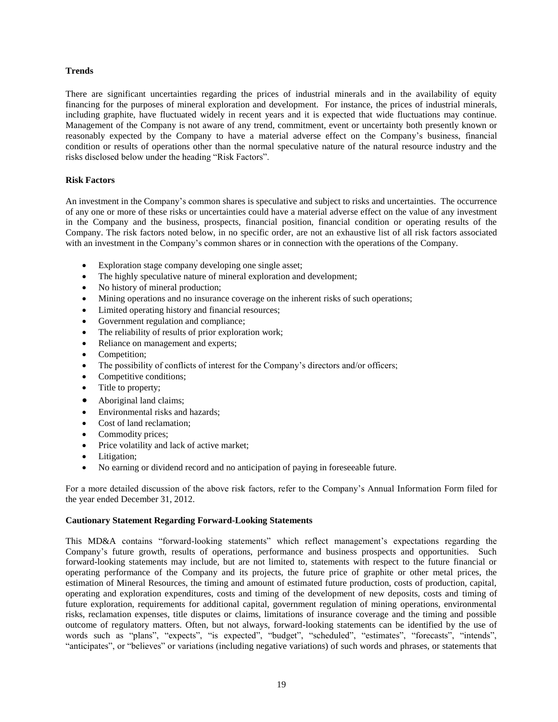# **Trends**

There are significant uncertainties regarding the prices of industrial minerals and in the availability of equity financing for the purposes of mineral exploration and development. For instance, the prices of industrial minerals, including graphite, have fluctuated widely in recent years and it is expected that wide fluctuations may continue. Management of the Company is not aware of any trend, commitment, event or uncertainty both presently known or reasonably expected by the Company to have a material adverse effect on the Company's business, financial condition or results of operations other than the normal speculative nature of the natural resource industry and the risks disclosed below under the heading "Risk Factors".

# **Risk Factors**

An investment in the Company's common shares is speculative and subject to risks and uncertainties. The occurrence of any one or more of these risks or uncertainties could have a material adverse effect on the value of any investment in the Company and the business, prospects, financial position, financial condition or operating results of the Company. The risk factors noted below, in no specific order, are not an exhaustive list of all risk factors associated with an investment in the Company's common shares or in connection with the operations of the Company.

- Exploration stage company developing one single asset;
- The highly speculative nature of mineral exploration and development;
- No history of mineral production;
- Mining operations and no insurance coverage on the inherent risks of such operations;
- Limited operating history and financial resources;
- Government regulation and compliance;
- The reliability of results of prior exploration work;
- Reliance on management and experts;
- Competition:
- The possibility of conflicts of interest for the Company's directors and/or officers;
- Competitive conditions;
- Title to property;
- Aboriginal land claims;
- Environmental risks and hazards;
- Cost of land reclamation:
- Commodity prices;
- Price volatility and lack of active market;
- Litigation;
- No earning or dividend record and no anticipation of paying in foreseeable future.

For a more detailed discussion of the above risk factors, refer to the Company's Annual Information Form filed for the year ended December 31, 2012.

# **Cautionary Statement Regarding Forward-Looking Statements**

This MD&A contains "forward-looking statements" which reflect management's expectations regarding the Company's future growth, results of operations, performance and business prospects and opportunities. Such forward-looking statements may include, but are not limited to, statements with respect to the future financial or operating performance of the Company and its projects, the future price of graphite or other metal prices, the estimation of Mineral Resources, the timing and amount of estimated future production, costs of production, capital, operating and exploration expenditures, costs and timing of the development of new deposits, costs and timing of future exploration, requirements for additional capital, government regulation of mining operations, environmental risks, reclamation expenses, title disputes or claims, limitations of insurance coverage and the timing and possible outcome of regulatory matters. Often, but not always, forward-looking statements can be identified by the use of words such as "plans", "expects", "is expected", "budget", "scheduled", "estimates", "forecasts", "intends", "anticipates", or "believes" or variations (including negative variations) of such words and phrases, or statements that